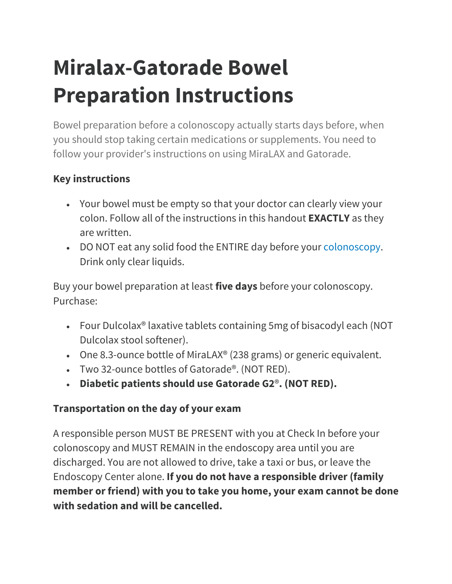# **Miralax-Gatorade Bowel Preparation Instructions**

Bowel preparation before a colonoscopy actually starts days before, when you should stop taking certain medications or supplements. You need to follow your provider's instructions on using MiraLAX and Gatorade.

## **Key instructions**

- Your bowel must be empty so that your doctor can clearly view your colon. Follow all of the instructions in this handout **EXACTLY** as they are written.
- DO NOT eat any solid food the ENTIRE day before your [colonoscopy.](https://my.clevelandclinic.org/health/diagnostics/4949-colonoscopy) Drink only clear liquids.

Buy your bowel preparation at least **five days** before your colonoscopy. Purchase:

- Four Dulcolax® laxative tablets containing 5mg of bisacodyl each (NOT Dulcolax stool softener).
- One 8.3-ounce bottle of MiraLAX® (238 grams) or generic equivalent.
- Two 32-ounce bottles of Gatorade®. (NOT RED).
- **Diabetic patients should use Gatorade G2**®**. (NOT RED).**

# **Transportation on the day of your exam**

A responsible person MUST BE PRESENT with you at Check In before your colonoscopy and MUST REMAIN in the endoscopy area until you are discharged. You are not allowed to drive, take a taxi or bus, or leave the Endoscopy Center alone. **If you do not have a responsible driver (family member or friend) with you to take you home, your exam cannot be done with sedation and will be cancelled.**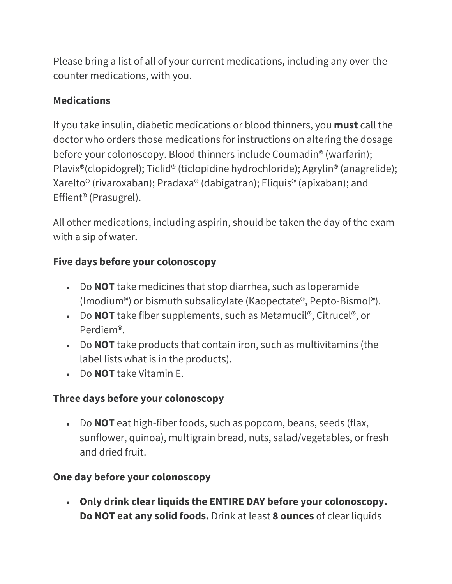Please bring a list of all of your current medications, including any over-thecounter medications, with you.

### **Medications**

If you take insulin, diabetic medications or blood thinners, you **must** call the doctor who orders those medications for instructions on altering the dosage before your colonoscopy. Blood thinners include Coumadin® (warfarin); Plavix®(clopidogrel); Ticlid® (ticlopidine hydrochloride); Agrylin® (anagrelide); Xarelto® (rivaroxaban); Pradaxa® (dabigatran); Eliquis® (apixaban); and Effient® (Prasugrel).

All other medications, including aspirin, should be taken the day of the exam with a sip of water.

## **Five days before your colonoscopy**

- Do **NOT** take medicines that stop diarrhea, such as loperamide (Imodium®) or bismuth subsalicylate (Kaopectate®, Pepto-Bismol®).
- Do **NOT** take fiber supplements, such as Metamucil®, Citrucel®, or Perdiem®.
- Do **NOT** take products that contain iron, such as multivitamins (the label lists what is in the products).
- Do **NOT** take Vitamin E.

## **Three days before your colonoscopy**

• Do **NOT** eat high-fiber foods, such as popcorn, beans, seeds (flax, sunflower, quinoa), multigrain bread, nuts, salad/vegetables, or fresh and dried fruit.

## **One day before your colonoscopy**

• **Only drink clear liquids the ENTIRE DAY before your colonoscopy. Do NOT eat any solid foods.** Drink at least **8 ounces** of clear liquids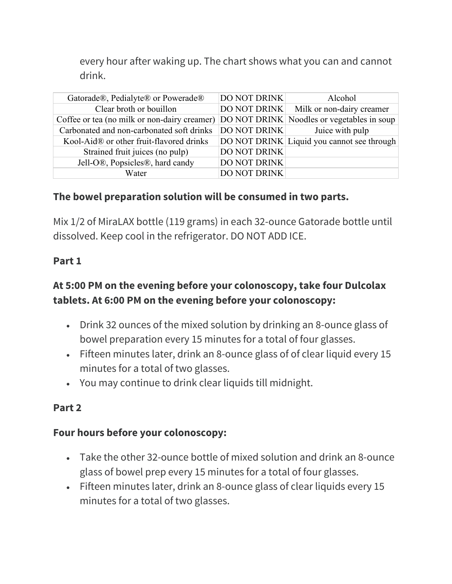every hour after waking up. The chart shows what you can and cannot drink.

| Gatorade®, Pedialyte® or Powerade®                                                      | <b>DO NOT DRINK</b> | Alcohol                                    |
|-----------------------------------------------------------------------------------------|---------------------|--------------------------------------------|
| Clear broth or bouillon                                                                 |                     | DO NOT DRINK Milk or non-dairy creamer     |
| Coffee or tea (no milk or non-dairy creamer) DO NOT DRINK Noodles or vegetables in soup |                     |                                            |
| Carbonated and non-carbonated soft drinks                                               | <b>DO NOT DRINK</b> | Juice with pulp                            |
| Kool-Aid® or other fruit-flavored drinks                                                |                     | DO NOT DRINK Liquid you cannot see through |
| Strained fruit juices (no pulp)                                                         | <b>DO NOT DRINK</b> |                                            |
| Jell-O®, Popsicles®, hard candy                                                         | <b>DO NOT DRINK</b> |                                            |
| Water                                                                                   | <b>DO NOT DRINK</b> |                                            |

#### **The bowel preparation solution will be consumed in two parts.**

Mix 1/2 of MiraLAX bottle (119 grams) in each 32-ounce Gatorade bottle until dissolved. Keep cool in the refrigerator. DO NOT ADD ICE.

#### **Part 1**

#### **At 5:00 PM on the evening before your colonoscopy, take four Dulcolax tablets. At 6:00 PM on the evening before your colonoscopy:**

- Drink 32 ounces of the mixed solution by drinking an 8-ounce glass of bowel preparation every 15 minutes for a total of four glasses.
- Fifteen minutes later, drink an 8-ounce glass of of clear liquid every 15 minutes for a total of two glasses.
- You may continue to drink clear liquids till midnight.

#### **Part 2**

#### **Four hours before your colonoscopy:**

- Take the other 32-ounce bottle of mixed solution and drink an 8-ounce glass of bowel prep every 15 minutes for a total of four glasses.
- Fifteen minutes later, drink an 8-ounce glass of clear liquids every 15 minutes for a total of two glasses.